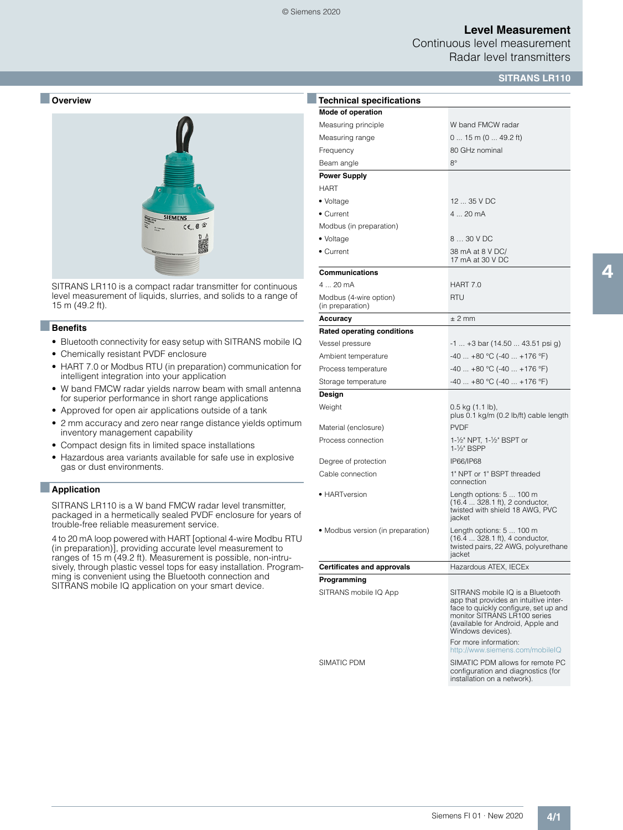### **Level Measurement**

Continuous level measurement Radar level transmitters

### **SITRANS LR110**



SITRANS LR110 is a compact radar transmitter for continuous level measurement of liquids, slurries, and solids to a range of 15 m (49.2 ft).

### ■**Benefits**

- Bluetooth connectivity for easy setup with SITRANS mobile IQ
- Chemically resistant PVDF enclosure
- HART 7.0 or Modbus RTU (in preparation) communication for intelligent integration into your application
- W band FMCW radar yields narrow beam with small antenna for superior performance in short range applications
- Approved for open air applications outside of a tank
- 2 mm accuracy and zero near range distance yields optimum inventory management capability
- Compact design fits in limited space installations
- Hazardous area variants available for safe use in explosive gas or dust environments.

#### ■**Application**

SITRANS LR110 is a W band FMCW radar level transmitter, packaged in a hermetically sealed PVDF enclosure for years of trouble-free reliable measurement service.

4 to 20 mA loop powered with HART [optional 4-wire Modbu RTU (in preparation)], providing accurate level measurement to ranges of 15 m (49.2 ft). Measurement is possible, non-intrusively, through plastic vessel tops for easy installation. Programming is convenient using the Bluetooth connection and SITRANS mobile IQ application on your smart device.

| <b>Technical specifications</b>            |                                                                                                                                                                                                              |  |  |
|--------------------------------------------|--------------------------------------------------------------------------------------------------------------------------------------------------------------------------------------------------------------|--|--|
| Mode of operation                          |                                                                                                                                                                                                              |  |  |
| Measuring principle                        | W band FMCW radar                                                                                                                                                                                            |  |  |
| Measuring range                            | $015$ m (0  49.2 ft)                                                                                                                                                                                         |  |  |
| Frequency                                  | 80 GHz nominal                                                                                                                                                                                               |  |  |
| Beam angle                                 | $8^\circ$                                                                                                                                                                                                    |  |  |
| <b>Power Supply</b>                        |                                                                                                                                                                                                              |  |  |
| <b>HART</b>                                |                                                                                                                                                                                                              |  |  |
| • Voltage                                  | 12  35 V DC                                                                                                                                                                                                  |  |  |
| • Current                                  | 4  20 mA                                                                                                                                                                                                     |  |  |
| Modbus (in preparation)                    |                                                                                                                                                                                                              |  |  |
| • Voltage                                  | 8  30 V DC                                                                                                                                                                                                   |  |  |
| • Current                                  | 38 mA at 8 V DC/<br>17 mA at 30 V DC                                                                                                                                                                         |  |  |
| <b>Communications</b>                      |                                                                                                                                                                                                              |  |  |
| 4  20 mA                                   | HART 7.0                                                                                                                                                                                                     |  |  |
| Modbus (4-wire option)<br>(in preparation) | <b>RTU</b>                                                                                                                                                                                                   |  |  |
| Accuracy                                   | $±$ 2 mm                                                                                                                                                                                                     |  |  |
| <b>Rated operating conditions</b>          |                                                                                                                                                                                                              |  |  |
| Vessel pressure                            | $-1$ $+3$ bar (14.50  43.51 psi g)                                                                                                                                                                           |  |  |
| Ambient temperature                        | $-40+80$ °C ( $-40+176$ °F)                                                                                                                                                                                  |  |  |
| Process temperature                        | $-40+80$ °C ( $-40+176$ °F)                                                                                                                                                                                  |  |  |
| Storage temperature                        | $-40$ $+80$ °C ( $-40$ $+176$ °F)                                                                                                                                                                            |  |  |
| Design                                     |                                                                                                                                                                                                              |  |  |
| Weight                                     | $0.5$ kg $(1.1$ lb),<br>plus 0.1 kg/m (0.2 lb/ft) cable length                                                                                                                                               |  |  |
| Material (enclosure)                       | <b>PVDF</b>                                                                                                                                                                                                  |  |  |
| Process connection                         | 1-1/2" NPT, 1-1/2" BSPT or<br>1-1/ <sub>2</sub> " BSPP                                                                                                                                                       |  |  |
| Degree of protection                       | IP66/IP68                                                                                                                                                                                                    |  |  |
| Cable connection                           | 1" NPT or 1" BSPT threaded<br>connection                                                                                                                                                                     |  |  |
| • HARTversion                              | Length options: 5  100 m<br>(16.4  328.1 ft), 2 conductor,<br>twisted with shield 18 AWG, PVC<br>jacket                                                                                                      |  |  |
| • Modbus version (in preparation)          | Length options: 5  100 m<br>(16.4  328.1 ft), 4 conductor,<br>twisted pairs, 22 AWG, polyurethane<br>jacket                                                                                                  |  |  |
| <b>Certificates and approvals</b>          | Hazardous ATEX, IECEx                                                                                                                                                                                        |  |  |
| Programming                                |                                                                                                                                                                                                              |  |  |
| SITRANS mobile IQ App                      | SITRANS mobile IQ is a Bluetooth<br>app that provides an intuitive inter-<br>face to quickly configure, set up and<br>monitor SITRANS LR100 series<br>(available for Android, Apple and<br>Windows devices). |  |  |
|                                            | For more information:<br>http://www.siemens.com/mobileIQ                                                                                                                                                     |  |  |
| SIMATIC PDM                                | SIMATIC PDM allows for remote PC<br>configuration and diagnostics (for<br>installation on a network).                                                                                                        |  |  |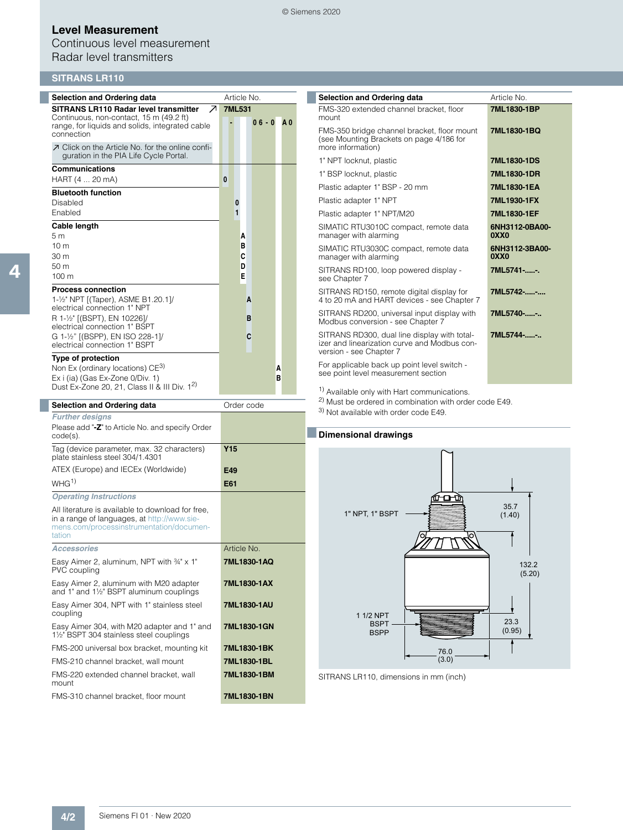#### © Siemens 2020

# **Level Measurement**

Continuous level measurement Radar level transmitters

# **SITRANS LR110**

| <b>Selection and Ordering data</b>                                                                                                                                                                         |   | Article No. |               |            |   |                |
|------------------------------------------------------------------------------------------------------------------------------------------------------------------------------------------------------------|---|-------------|---------------|------------|---|----------------|
| SITRANS LR110 Radar level transmitter<br>↗<br>Continuous, non-contact, 15 m (49.2 ft)<br>range, for liquids and solids, integrated cable<br>connection<br>○ Click on the Article No. for the online confi- |   |             | <b>7ML531</b> | $06 - 0$   |   | A <sub>0</sub> |
| guration in the PIA Life Cycle Portal.                                                                                                                                                                     |   |             |               |            |   |                |
| Communications                                                                                                                                                                                             |   |             |               |            |   |                |
| HART (4  20 mA)                                                                                                                                                                                            | 0 |             |               |            |   |                |
| <b>Bluetooth function</b>                                                                                                                                                                                  |   |             |               |            |   |                |
| Disabled                                                                                                                                                                                                   |   | 0           |               |            |   |                |
| Enabled                                                                                                                                                                                                    |   | 1           |               |            |   |                |
| Cable length                                                                                                                                                                                               |   |             |               |            |   |                |
| 5 <sub>m</sub>                                                                                                                                                                                             |   |             | A             |            |   |                |
| 10 <sub>m</sub>                                                                                                                                                                                            |   |             | в             |            |   |                |
| 30 <sub>m</sub>                                                                                                                                                                                            |   |             | C             |            |   |                |
| 50 <sub>m</sub><br>$100 \text{ m}$                                                                                                                                                                         |   |             | D<br>E        |            |   |                |
|                                                                                                                                                                                                            |   |             |               |            |   |                |
| <b>Process connection</b>                                                                                                                                                                                  |   |             |               |            |   |                |
| 1-1/2" NPT [(Taper), ASME B1.20.1]/<br>electrical connection 1" NPT                                                                                                                                        |   |             | A             |            |   |                |
| R 1-1/2" [(BSPT), EN 10226]/                                                                                                                                                                               |   |             | в             |            |   |                |
| electrical connection 1" BSPT                                                                                                                                                                              |   |             |               |            |   |                |
| G 1-1/2" [(BSPP), EN ISO 228-1]/                                                                                                                                                                           |   |             | C             |            |   |                |
| electrical connection 1" BSPT                                                                                                                                                                              |   |             |               |            |   |                |
| <b>Type of protection</b>                                                                                                                                                                                  |   |             |               |            |   |                |
| Non Ex (ordinary locations) CE <sup>3)</sup>                                                                                                                                                               |   |             |               |            | A |                |
| Ex i (ia) (Gas Ex-Zone 0/Div. 1)<br>Dust Ex-Zone 20, 21, Class II & III Div. 1 <sup>2)</sup>                                                                                                               |   |             |               |            | в |                |
|                                                                                                                                                                                                            |   |             |               |            |   |                |
| <b>Selection and Ordering data</b>                                                                                                                                                                         |   |             |               | Order code |   |                |
| <b>Further desians</b>                                                                                                                                                                                     |   |             |               |            |   |                |

| <b>Further designs</b>                                                                                                                                 |             |  |  |  |
|--------------------------------------------------------------------------------------------------------------------------------------------------------|-------------|--|--|--|
| Please add "-Z" to Article No. and specify Order<br>$code(s)$ .                                                                                        |             |  |  |  |
| Tag (device parameter, max. 32 characters)<br>plate stainless steel 304/1.4301                                                                         | Y15         |  |  |  |
| ATEX (Europe) and IECEx (Worldwide)                                                                                                                    | E49         |  |  |  |
| WHG <sup>1</sup>                                                                                                                                       | E61         |  |  |  |
| <b>Operating Instructions</b>                                                                                                                          |             |  |  |  |
| All literature is available to download for free,<br>in a range of languages, at http://www.sie-<br>mens.com/processinstrumentation/documen-<br>tation |             |  |  |  |
| <b>Accessories</b>                                                                                                                                     | Article No. |  |  |  |
| Easy Aimer 2, aluminum, NPT with 34" x 1"<br>PVC coupling                                                                                              | 7ML1830-1AQ |  |  |  |
| Easy Aimer 2, aluminum with M20 adapter<br>and 1" and 1½" BSPT aluminum couplings                                                                      | 7ML1830-1AX |  |  |  |
| Easy Aimer 304, NPT with 1" stainless steel<br>coupling                                                                                                | 7ML1830-1AU |  |  |  |
| Easy Aimer 304, with M20 adapter and 1" and<br>1½" BSPT 304 stainless steel couplings                                                                  | 7ML1830-1GN |  |  |  |
| FMS-200 universal box bracket, mounting kit                                                                                                            | 7ML1830-1BK |  |  |  |
| FMS-210 channel bracket, wall mount                                                                                                                    | 7ML1830-1BL |  |  |  |
| FMS-220 extended channel bracket, wall<br>mount                                                                                                        | 7ML1830-1BM |  |  |  |
| FMS-310 channel bracket, floor mount                                                                                                                   | 7ML1830-1BN |  |  |  |

| <b>Selection and Ordering data</b>                                                                                      | Article No                         |
|-------------------------------------------------------------------------------------------------------------------------|------------------------------------|
| FMS-320 extended channel bracket, floor<br>mount                                                                        | 7ML1830-1BP                        |
| FMS-350 bridge channel bracket, floor mount<br>(see Mounting Brackets on page 4/186 for<br>more information)            | 7ML1830-1BQ                        |
| 1" NPT locknut, plastic                                                                                                 | 7ML1830-1DS                        |
| 1" BSP locknut, plastic                                                                                                 | 7ML1830-1DR                        |
| Plastic adapter 1" BSP - 20 mm                                                                                          | 7ML1830-1EA                        |
| Plastic adapter 1" NPT                                                                                                  | 7ML1930-1FX                        |
| Plastic adapter 1" NPT/M20                                                                                              | 7ML1830-1EF                        |
| SIMATIC RTU3010C compact, remote data<br>manager with alarming                                                          | 6NH3112-0BA00-<br>0XX <sub>0</sub> |
| SIMATIC RTU3030C compact, remote data<br>manager with alarming                                                          | 6NH3112-3BA00-<br>0XX0             |
| SITRANS RD100, loop powered display -<br>see Chapter 7                                                                  | 7ML5741--.                         |
| SITRANS RD150, remote digital display for<br>4 to 20 mA and HART devices - see Chapter 7                                | 7ML5742--                          |
| SITRANS RD200, universal input display with<br>Modbus conversion - see Chapter 7                                        | 7ML5740-                           |
| SITRANS RD300, dual line display with total-<br>izer and linearization curve and Modbus con-<br>version - see Chapter 7 | 7ML5744--                          |

For applicable back up point level switch see point level measurement section

1) Available only with Hart communications.

2) Must be ordered in combination with order code E49.

3) Not available with order code E49.

### ■**Dimensional drawings**



SITRANS LR110, dimensions in mm (inch)